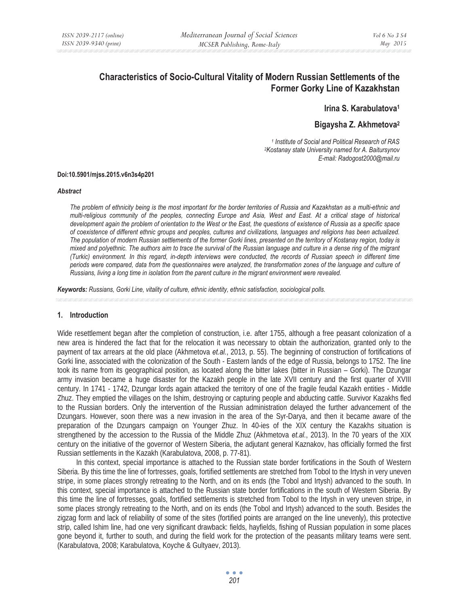# **Characteristics of Socio-Cultural Vitality of Modern Russian Settlements of the Former Gorky Line of Kazakhstan**

**Irina S. Karabulatova1**

## **Bigaysha Z. Akhmetova2**

*1 Institute of Social and Political Research of RAS 2Kostanay state University named for A. Baitursynov E-mail: Radogost2000@mail.ru* 

#### **Doi:10.5901/mjss.2015.v6n3s4p201**

#### *Abstract*

*The problem of ethnicity being is the most important for the border territories of Russia and Kazakhstan as a multi-ethnic and multi-religious community of the peoples, connecting Europe and Asia, West and East. At a critical stage of historical development again the problem of orientation to the West or the East, the questions of existence of Russia as a specific space of coexistence of different ethnic groups and peoples, cultures and civilizations, languages and religions has been actualized. The population of modern Russian settlements of the former Gorki lines, presented on the territory of Kostanay region, today is mixed and polyethnic. The authors aim to trace the survival of the Russian language and culture in a dense ring of the migrant (Turkic) environment. In this regard, in-depth interviews were conducted, the records of Russian speech in different time periods were compared, data from the questionnaires were analyzed, the transformation zones of the language and culture of Russians, living a long time in isolation from the parent culture in the migrant environment were revealed.* 

*Keywords: Russians, Gorki Line, vitality of culture, ethnic identity, ethnic satisfaction, sociological polls.*

#### **1. Introduction**

Wide resettlement began after the completion of construction, i.e. after 1755, although a free peasant colonization of a new area is hindered the fact that for the relocation it was necessary to obtain the authorization, granted only to the payment of tax arrears at the old place (Akhmetova *et.al.*, 2013, p. 55). The beginning of construction of fortifications of Gorki line, associated with the colonization of the South - Eastern lands of the edge of Russia, belongs to 1752. The line took its name from its geographical position, as located along the bitter lakes (bitter in Russian – Gorki). The Dzungar army invasion became a huge disaster for the Kazakh people in the late XVII century and the first quarter of XVIII century. In 1741 - 1742, Dzungar lords again attacked the territory of one of the fragile feudal Kazakh entities - Middle Zhuz. They emptied the villages on the Ishim, destroying or capturing people and abducting cattle. Survivor Kazakhs fled to the Russian borders. Only the intervention of the Russian administration delayed the further advancement of the Dzungars. However, soon there was a new invasion in the area of the Syr-Darya, and then it became aware of the preparation of the Dzungars campaign on Younger Zhuz. In 40-ies of the XIX century the Kazakhs situation is strengthened by the accession to the Russia of the Middle Zhuz (Akhmetova *et.al.*, 2013). In the 70 years of the XIX century on the initiative of the governor of Western Siberia, the adjutant general Kaznakov, has officially formed the first Russian settlements in the Kazakh (Karabulatova, 2008, p. 77-81).

In this context, special importance is attached to the Russian state border fortifications in the South of Western Siberia. By this time the line of fortresses, goals, fortified settlements are stretched from Tobol to the Irtysh in very uneven stripe, in some places strongly retreating to the North, and on its ends (the Tobol and Irtysh) advanced to the south. In this context, special importance is attached to the Russian state border fortifications in the south of Western Siberia. By this time the line of fortresses, goals, fortified settlements is stretched from Tobol to the Irtysh in very uneven stripe, in some places strongly retreating to the North, and on its ends (the Tobol and Irtysh) advanced to the south. Besides the zigzag form and lack of reliability of some of the sites (fortified points are arranged on the line unevenly), this protective strip, called Ishim line, had one very significant drawback: fields, hayfields, fishing of Russian population in some places gone beyond it, further to south, and during the field work for the protection of the peasants military teams were sent. (Karabulatova, 2008; Karabulatova, Koyche & Gultyaev, 2013).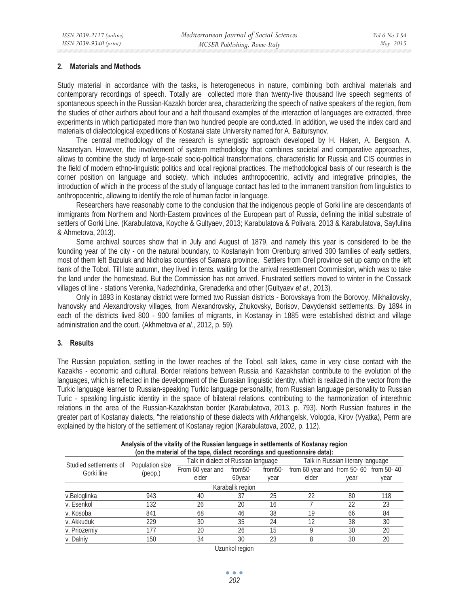## **2. Materials and Methods**

Study material in accordance with the tasks, is heterogeneous in nature, combining both archival materials and contemporary recordings of speech. Totally are collected more than twenty-five thousand live speech segments of spontaneous speech in the Russian-Kazakh border area, characterizing the speech of native speakers of the region, from the studies of other authors about four and a half thousand examples of the interaction of languages are extracted, three experiments in which participated more than two hundred people are conducted. In addition, we used the index card and materials of dialectological expeditions of Kostanai state University named for A. Baitursynov.

The central methodology of the research is synergistic approach developed by H. Haken, A. Bergson, A. Nasaretyan. However, the involvement of system methodology that combines societal and comparative approaches, allows to combine the study of large-scale socio-political transformations, characteristic for Russia and CIS countries in the field of modern ethno-linguistic politics and local regional practices. The methodological basis of our research is the corner position on language and society, which includes anthropocentric, activity and integrative principles, the introduction of which in the process of the study of language contact has led to the immanent transition from linguistics to anthropocentric, allowing to identify the role of human factor in language.

Researchers have reasonably come to the conclusion that the indigenous people of Gorki line are descendants of immigrants from Northern and North-Eastern provinces of the European part of Russia, defining the initial substrate of settlers of Gorki Line. (Karabulatova, Koyche & Gultyaev, 2013; Karabulatova & Polivara, 2013 & Karabulatova, Sayfulina & Ahmetova, 2013).

Some archival sources show that in July and August of 1879, and namely this year is considered to be the founding year of the city - on the natural boundary, to Kostanayin from Orenburg arrived 300 families of early settlers, most of them left Buzuluk and Nicholas counties of Samara province. Settlers from Orel province set up camp on the left bank of the Tobol. Till late autumn, they lived in tents, waiting for the arrival resettlement Commission, which was to take the land under the homestead. But the Commission has not arrived. Frustrated settlers moved to winter in the Cossack villages of line - stations Verenka, Nadezhdinka, Grenaderka and other (Gultyaev *et al.*, 2013).

Only in 1893 in Kostanay district were formed two Russian districts - Borovskaya from the Borovoy, Mikhailovsky, Ivanovsky and Alexandrovsky villages, from Alexandrovsky, Zhukovsky, Borisov, Davydenskt settlements. By 1894 in each of the districts lived 800 - 900 families of migrants, in Kostanay in 1885 were established district and village administration and the court. (Akhmetova *et al.*, 2012, p. 59).

## **3. Results**

The Russian population, settling in the lower reaches of the Tobol, salt lakes, came in very close contact with the Kazakhs - economic and cultural. Border relations between Russia and Kazakhstan contribute to the evolution of the languages, which is reflected in the development of the Eurasian linguistic identity, which is realized in the vector from the Turkic language learner to Russian-speaking Turkic language personality, from Russian language personality to Russian Turic - speaking linguistic identity in the space of bilateral relations, contributing to the harmonization of interethnic relations in the area of the Russian-Kazakhstan border (Karabulatova, 2013, p. 793). North Russian features in the greater part of Kostanay dialects, "the relationship of these dialects with Arkhangelsk, Vologda, Kirov (Vyatka), Perm are explained by the history of the settlement of Kostanay region (Karabulatova, 2002, p. 112).

|                                      |                            | (on the material of the tape, dialect recordings and questionnaire data): |                |         |                                        |      |      |
|--------------------------------------|----------------------------|---------------------------------------------------------------------------|----------------|---------|----------------------------------------|------|------|
| Studied settlements of<br>Gorki line | Population size<br>(peop.) | Talk in dialect of Russian language                                       |                |         | Talk in Russian literary language      |      |      |
|                                      |                            | From 60 year and                                                          | from50-        | from50- | from 60 year and from 50-60 from 50-40 |      |      |
|                                      |                            | elder                                                                     | 60year         | year    | elder                                  | vear | year |
| Karabalik region                     |                            |                                                                           |                |         |                                        |      |      |
| v.Beloglinka                         | 943                        | 40                                                                        | 37             | 25      | 22                                     | 80   | 118  |
| v. Esenkol                           | 132                        | 26                                                                        | 20             | 16      |                                        | 22   | 23   |
| v. Kosoba                            | 841                        | 68                                                                        | 46             | 38      | 19                                     | 66   | 84   |
| v. Akkuduk                           | 229                        | 30                                                                        | 35             | 24      | 12                                     | 38   | 30   |
| v. Priozerniy                        | 177                        | 20                                                                        | 26             | 15      | O                                      | 30   | 20   |
| v. Dalniy                            | 150                        | 34                                                                        | 30             | 23      | 8                                      | 30   | 20   |
|                                      |                            |                                                                           | Uzunkol region |         |                                        |      |      |

**Analysis of the vitality of the Russian language in settlements of Kostanay region (on the material of the tape, dialect recordings and questionnaire data):**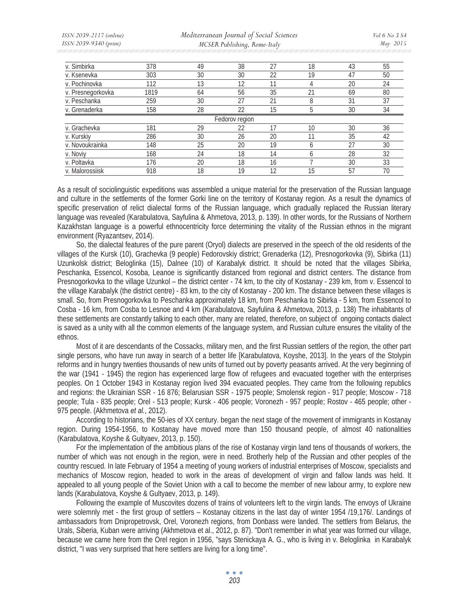*ISSN 2039-2117 (online) ISSN 2039-9340 (print)* 

 *Mediterranean Journal of Social Sciences MCSER Publishing, Rome-Italy* 

*Vol 6 No 3 S4 May 2015* 

| v. Simbirka       | 378  | 49 | 38             | 27 | 18              | 43 | 55 |
|-------------------|------|----|----------------|----|-----------------|----|----|
| v. Ksenevka       | 303  | 30 | 30             | 22 | 19              | 47 | 50 |
| v. Pochinovka     | 112  | 13 | 12             | 11 | 4               | 20 | 24 |
| v. Presnegorkovka | 1819 | 64 | 56             | 35 | 21              | 69 | 80 |
| v. Peschanka      | 259  | 30 | 27             | 21 | 8               | 31 | 37 |
| v. Grenaderka     | 158  | 28 | 22             | 15 | b               | 30 | 34 |
|                   |      |    | Fedorov region |    |                 |    |    |
| v. Grachevka      | 181  | 29 | 22             |    | 10 <sup>°</sup> | 30 | 36 |
| v. Kurskiy        | 286  | 30 | 26             | 20 | 11              | 35 | 42 |
| v. Novoukrainka   | 148  | 25 | 20             | 19 | <sub>6</sub>    | 27 | 30 |
| v. Noviy          | 168  | 24 | 18             | 14 | <sub>6</sub>    | 28 | 32 |
| v. Poltavka       | 176  | 20 | 18             | 16 |                 | 30 | 33 |
| v. Malorossiisk   | 918  | 18 | 19             | 12 | 15              | 57 | 70 |

As a result of sociolinguistic expeditions was assembled a unique material for the preservation of the Russian language and culture in the settlements of the former Gorki line on the territory of Kostanay region. As a result the dynamics of specific preservation of relict dialectal forms of the Russian language, which gradually replaced the Russian literary language was revealed (Karabulatova, Sayfulina & Ahmetova, 2013, p. 139). In other words, for the Russians of Northern Kazakhstan language is a powerful ethnocentricity force determining the vitality of the Russian ethnos in the migrant environment (Ryazantsev, 2014).

So, the dialectal features of the pure parent (Oryol) dialects are preserved in the speech of the old residents of the villages of the Kursk (10), Grachevka (9 people) Fedorovskiy district; Grenaderka (12), Presnogorkovka (9), Sibirka (11) Uzunkolsk district; Beloglinka (15), Dalnee (10) of Karabalyk district. It should be noted that the villages Sibirka, Peschanka, Essencol, Kosoba, Leanoe is significantly distanced from regional and district centers. The distance from Presnogorkovka to the village Uzunkol – the district center - 74 km, to the city of Kostanay - 239 km, from v. Essencol to the village Karabalyk (the district centre) - 83 km, to the city of Kostanay - 200 km. The distance between these villages is small. So, from Presnogorkovka to Peschanka approximately 18 km, from Peschanka to Sibirka - 5 km, from Essencol to Cosba - 16 km, from Cosba to Lesnoe and 4 km (Karabulatova, Sayfulina & Ahmetova, 2013, p. 138) The inhabitants of these settlements are constantly talking to each other, many are related, therefore, on subject of ongoing contacts dialect is saved as a unity with all the common elements of the language system, and Russian culture ensures the vitality of the ethnos.

Most of it are descendants of the Cossacks, military men, and the first Russian settlers of the region, the other part single persons, who have run away in search of a better life [Karabulatova, Koyshe, 2013]. In the years of the Stolypin reforms and in hungry twenties thousands of new units of turned out by poverty peasants arrived. At the very beginning of the war (1941 - 1945) the region has experienced large flow of refugees and evacuated together with the enterprises peoples. On 1 October 1943 in Kostanay region lived 394 evacuated peoples. They came from the following republics and regions: the Ukrainian SSR - 16 876; Belarusian SSR - 1975 people; Smolensk region - 917 people; Moscow - 718 people; Tula - 835 people; Orel - 513 people; Kursk - 406 people; Voronezh - 957 people; Rostov - 465 people; other - 975 people. (Akhmetova *et al.*, 2012).

According to historians, the 50-ies of XX century. began the next stage of the movement of immigrants in Kostanay region. During 1954-1956, to Kostanay have moved more than 150 thousand people, of almost 40 nationalities (Karabulatova, Koyshe & Gultyaev, 2013, p. 150).

For the implementation of the ambitious plans of the rise of Kostanay virgin land tens of thousands of workers, the number of which was not enough in the region, were in need. Brotherly help of the Russian and other peoples of the country rescued. In late February of 1954 a meeting of young workers of industrial enterprises of Moscow, specialists and mechanics of Moscow region, headed to work in the areas of development of virgin and fallow lands was held. It appealed to all young people of the Soviet Union with a call to become the member of new labour army, to explore new lands (Karabulatova, Koyshe & Gultyaev, 2013, p. 149).

Following the example of Muscovites dozens of trains of volunteers left to the virgin lands. The envoys of Ukraine were solemnly met - the first group of settlers – Kostanay citizens in the last day of winter 1954 /19,176/. Landings of ambassadors from Dnipropetrovsk, Orel, Voronezh regions, from Donbass were landed. The settlers from Belarus, the Urals, Siberia, Kuban were arriving (Akhmetova et al., 2012, p. 87). "Don't remember in what year was formed our village, because we came here from the Orel region in 1956, "says Stenickaya A. G., who is living in v. Beloglinka in Karabalyk district, "I was very surprised that here settlers are living for a long time".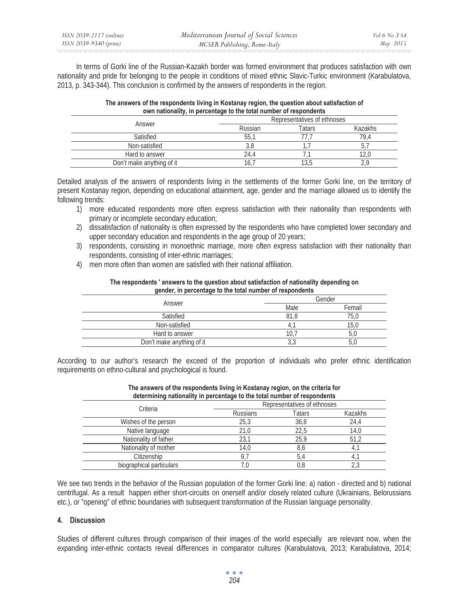In terms of Gorki line of the Russian-Kazakh border was formed environment that produces satisfaction with own nationality and pride for belonging to the people in conditions of mixed ethnic Slavic-Turkic environment (Karabulatova, 2013, p. 343-344). This conclusion is confirmed by the answers of respondents in the region.

| The answers of the respondents living in Kostanay region, the question about satisfaction of |
|----------------------------------------------------------------------------------------------|
| own nationality, in percentage to the total number of respondents                            |

| Answer                    | Representatives of ethnoses |        |         |  |
|---------------------------|-----------------------------|--------|---------|--|
|                           | Russian                     | Tatars | Kazakhs |  |
| Satisfied                 | 55.                         |        | 79.4    |  |
| Non-satisfied             | J.C                         |        |         |  |
| Hard to answer            | 14.4                        |        |         |  |
| Don't make anything of it |                             |        |         |  |

Detailed analysis of the answers of respondents living in the settlements of the former Gorki line, on the territory of present Kostanay region, depending on educational attainment, age, gender and the marriage allowed us to identify the following trends:

- 1) more educated respondents more often express satisfaction with their nationality than respondents with primary or incomplete secondary education;
- 2) dissatisfaction of nationality is often expressed by the respondents who have completed lower secondary and upper secondary education and respondents in the age group of 20 years;
- 3) respondents, consisting in monoethnic marriage, more often express satisfaction with their nationality than respondents, consisting of inter-ethnic marriages;
- 4) men more often than women are satisfied with their national affiliation.

| geneer, in percentage to the total hannocritic respondents. |  |  |  |  |
|-------------------------------------------------------------|--|--|--|--|
| Gender                                                      |  |  |  |  |
| Femail                                                      |  |  |  |  |
| 75.0                                                        |  |  |  |  |
| 15.0                                                        |  |  |  |  |
|                                                             |  |  |  |  |
|                                                             |  |  |  |  |
|                                                             |  |  |  |  |

#### **The respondents ' answers to the question about satisfaction of nationality depending on gender, in percentage to the total number of respondents**

According to our author's research the exceed of the proportion of individuals who prefer ethnic identification requirements on ethno-cultural and psychological is found.

| determining nationality in percentage to the total number of respondents |                             |        |         |  |  |
|--------------------------------------------------------------------------|-----------------------------|--------|---------|--|--|
|                                                                          | Representatives of ethnoses |        |         |  |  |
| Criteria                                                                 | <b>Russians</b>             | Tatars | Kazakhs |  |  |
| Wishes of the person                                                     | 25.3                        | 36,8   | 24,4    |  |  |
| Native language                                                          | 21.0                        | 22.5   | 14,0    |  |  |
| Nationality of father                                                    | 23.1                        | 25.9   | 51.2    |  |  |
| Nationality of mother                                                    | 14,0                        | 8,6    |         |  |  |
| Citizenship                                                              | 9.7                         | 5.4    |         |  |  |
| biographical particulars                                                 | 7.0                         | 0,8    |         |  |  |

| The answers of the respondents living in Kostanay region, on the criteria for |
|-------------------------------------------------------------------------------|
| determining nationality in percentage to the total number of respondents      |

We see two trends in the behavior of the Russian population of the former Gorki line: a) nation - directed and b) national centrifugal. As a result happen either short-circuits on onerself and/or closely related culture (Ukrainians, Belorussians etc.), or "opening" of ethnic boundaries with subsequent transformation of the Russian language personality.

# **4. Discussion**

Studies of different cultures through comparison of their images of the world especially are relevant now, when the expanding inter-ethnic contacts reveal differences in comparator cultures (Karabulatova, 2013; Karabulatova, 2014;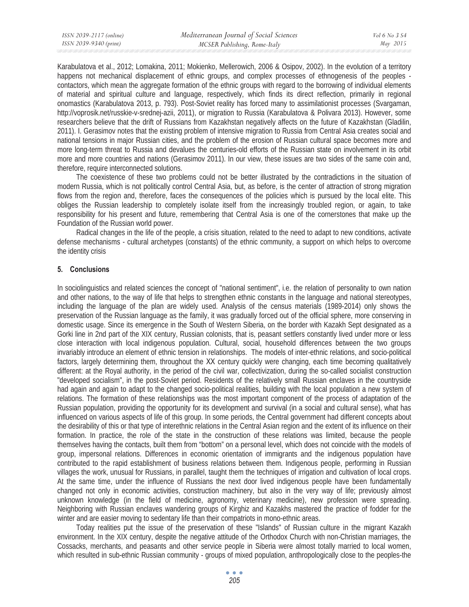Karabulatova et al., 2012; Lomakina, 2011; Mokienko, Mellerowich, 2006 & Osipov, 2002). In the evolution of a territory happens not mechanical displacement of ethnic groups, and complex processes of ethnogenesis of the peoples contactors, which mean the aggregate formation of the ethnic groups with regard to the borrowing of individual elements of material and spiritual culture and language, respectively, which finds its direct reflection, primarily in regional onomastics (Karabulatova 2013, p. 793). Post-Soviet reality has forced many to assimilationist processes (Svargaman, http://voprosik.net/russkie-v-srednej-azii, 2011), or migration to Russia (Karabulatova & Polivara 2013). However, some researchers believe that the drift of Russians from Kazakhstan negatively affects on the future of Kazakhstan (Gladilin, 2011). I. Gerasimov notes that the existing problem of intensive migration to Russia from Central Asia creates social and national tensions in major Russian cities, and the problem of the erosion of Russian cultural space becomes more and more long-term threat to Russia and devalues the centuries-old efforts of the Russian state on involvement in its orbit more and more countries and nations (Gerasimov 2011). In our view, these issues are two sides of the same coin and, therefore, require interconnected solutions.

The coexistence of these two problems could not be better illustrated by the contradictions in the situation of modern Russia, which is not politically control Central Asia, but, as before, is the center of attraction of strong migration flows from the region and, therefore, faces the consequences of the policies which is pursued by the local elite. This obliges the Russian leadership to completely isolate itself from the increasingly troubled region, or again, to take responsibility for his present and future, remembering that Central Asia is one of the cornerstones that make up the Foundation of the Russian world power.

Radical changes in the life of the people, a crisis situation, related to the need to adapt to new conditions, activate defense mechanisms - cultural archetypes (constants) of the ethnic community, a support on which helps to overcome the identity crisis

## **5. Conclusions**

In sociolinguistics and related sciences the concept of "national sentiment", i.e. the relation of personality to own nation and other nations, to the way of life that helps to strengthen ethnic constants in the language and national stereotypes, including the language of the plan are widely used. Analysis of the census materials (1989-2014) only shows the preservation of the Russian language as the family, it was gradually forced out of the official sphere, more conserving in domestic usage. Since its emergence in the South of Western Siberia, on the border with Kazakh Sept designated as a Gorki line in 2nd part of the XIX century, Russian colonists, that is, peasant settlers constantly lived under more or less close interaction with local indigenous population. Cultural, social, household differences between the two groups invariably introduce an element of ethnic tension in relationships. The models of inter-ethnic relations, and socio-political factors, largely determining them, throughout the XX century quickly were changing, each time becoming qualitatively different: at the Royal authority, in the period of the civil war, collectivization, during the so-called socialist construction "developed socialism", in the post-Soviet period. Residents of the relatively small Russian enclaves in the countryside had again and again to adapt to the changed socio-political realities, building with the local population a new system of relations. The formation of these relationships was the most important component of the process of adaptation of the Russian population, providing the opportunity for its development and survival (in a social and cultural sense), what has influenced on various aspects of life of this group. In some periods, the Central government had different concepts about the desirability of this or that type of interethnic relations in the Central Asian region and the extent of its influence on their formation. In practice, the role of the state in the construction of these relations was limited, because the people themselves having the contacts, built them from "bottom" on a personal level, which does not coincide with the models of group, impersonal relations. Differences in economic orientation of immigrants and the indigenous population have contributed to the rapid establishment of business relations between them. Indigenous people, performing in Russian villages the work, unusual for Russians, in parallel, taught them the techniques of irrigation and cultivation of local crops. At the same time, under the influence of Russians the next door lived indigenous people have been fundamentally changed not only in economic activities, construction machinery, but also in the very way of life; previously almost unknown knowledge (in the field of medicine, agronomy, veterinary medicine), new profession were spreading. Neighboring with Russian enclaves wandering groups of Kirghiz and Kazakhs mastered the practice of fodder for the winter and are easier moving to sedentary life than their compatriots in mono-ethnic areas.

Today realities put the issue of the preservation of these "Islands" of Russian culture in the migrant Kazakh environment. In the XIX century, despite the negative attitude of the Orthodox Church with non-Christian marriages, the Cossacks, merchants, and peasants and other service people in Siberia were almost totally married to local women, which resulted in sub-ethnic Russian community - groups of mixed population, anthropologically close to the peoples-the